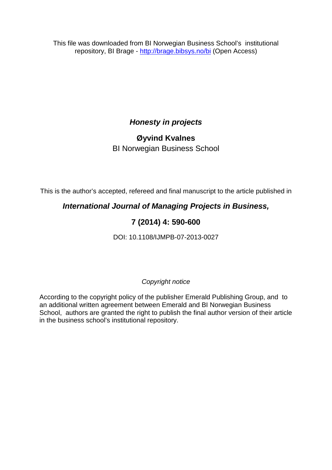This file was downloaded from BI Norwegian Business School's institutional repository, BI Brage - <http://brage.bibsys.no/bi> (Open Access)

# *Honesty in projects*

## **Øyvind Kvalnes** BI Norwegian Business School

This is the author's accepted, refereed and final manuscript to the article published in

## *International Journal of Managing Projects in Business,*

# **7 (2014) 4: 590-600**

DOI: 10.1108/IJMPB-07-2013-0027

## *Copyright notice*

According to the copyright policy of the publisher Emerald Publishing Group, and to an additional written agreement between Emerald and BI Norwegian Business School, authors are granted the right to publish the final author version of their article in the business school's institutional repository.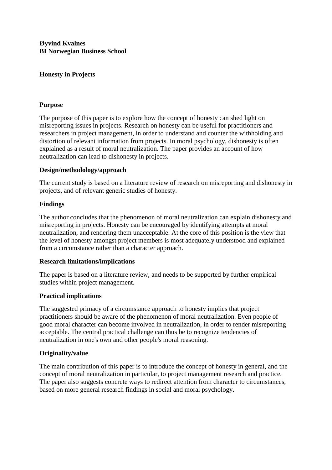## **Honesty in Projects**

### **Purpose**

The purpose of this paper is to explore how the concept of honesty can shed light on misreporting issues in projects. Research on honesty can be useful for practitioners and researchers in project management, in order to understand and counter the withholding and distortion of relevant information from projects. In moral psychology, dishonesty is often explained as a result of moral neutralization. The paper provides an account of how neutralization can lead to dishonesty in projects.

### **Design/methodology/approach**

The current study is based on a literature review of research on misreporting and dishonesty in projects, and of relevant generic studies of honesty.

### **Findings**

The author concludes that the phenomenon of moral neutralization can explain dishonesty and misreporting in projects. Honesty can be encouraged by identifying attempts at moral neutralization, and rendering them unacceptable. At the core of this position is the view that the level of honesty amongst project members is most adequately understood and explained from a circumstance rather than a character approach.

## **Research limitations/implications**

The paper is based on a literature review, and needs to be supported by further empirical studies within project management.

## **Practical implications**

The suggested primacy of a circumstance approach to honesty implies that project practitioners should be aware of the phenomenon of moral neutralization. Even people of good moral character can become involved in neutralization, in order to render misreporting acceptable. The central practical challenge can thus be to recognize tendencies of neutralization in one's own and other people's moral reasoning.

## **Originality/value**

The main contribution of this paper is to introduce the concept of honesty in general, and the concept of moral neutralization in particular, to project management research and practice. The paper also suggests concrete ways to redirect attention from character to circumstances, based on more general research findings in social and moral psychology**.**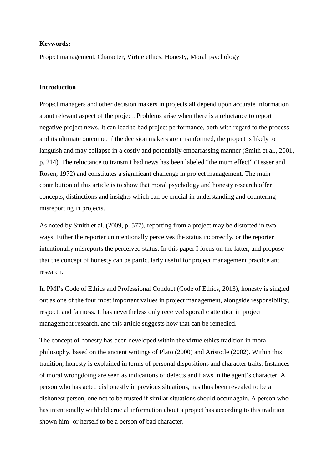#### **Keywords:**

Project management, Character, Virtue ethics, Honesty, Moral psychology

#### **Introduction**

Project managers and other decision makers in projects all depend upon accurate information about relevant aspect of the project. Problems arise when there is a reluctance to report negative project news. It can lead to bad project performance, both with regard to the process and its ultimate outcome. If the decision makers are misinformed, the project is likely to languish and may collapse in a costly and potentially embarrassing manner (Smith et al., 2001, p. 214). The reluctance to transmit bad news has been labeled "the mum effect" (Tesser and Rosen, 1972) and constitutes a significant challenge in project management. The main contribution of this article is to show that moral psychology and honesty research offer concepts, distinctions and insights which can be crucial in understanding and countering misreporting in projects.

As noted by Smith et al. (2009, p. 577), reporting from a project may be distorted in two ways: Either the reporter unintentionally perceives the status incorrectly, or the reporter intentionally misreports the perceived status. In this paper I focus on the latter, and propose that the concept of honesty can be particularly useful for project management practice and research.

In PMI's Code of Ethics and Professional Conduct (Code of Ethics, 2013), honesty is singled out as one of the four most important values in project management, alongside responsibility, respect, and fairness. It has nevertheless only received sporadic attention in project management research, and this article suggests how that can be remedied.

The concept of honesty has been developed within the virtue ethics tradition in moral philosophy, based on the ancient writings of Plato (2000) and Aristotle (2002). Within this tradition, honesty is explained in terms of personal dispositions and character traits. Instances of moral wrongdoing are seen as indications of defects and flaws in the agent's character. A person who has acted dishonestly in previous situations, has thus been revealed to be a dishonest person, one not to be trusted if similar situations should occur again. A person who has intentionally withheld crucial information about a project has according to this tradition shown him- or herself to be a person of bad character.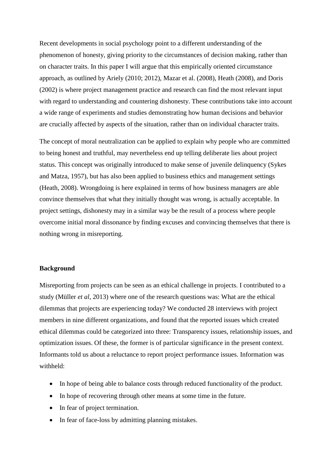Recent developments in social psychology point to a different understanding of the phenomenon of honesty, giving priority to the circumstances of decision making, rather than on character traits. In this paper I will argue that this empirically oriented circumstance approach, as outlined by Ariely (2010; 2012), Mazar et al. (2008), Heath (2008), and Doris (2002) is where project management practice and research can find the most relevant input with regard to understanding and countering dishonesty. These contributions take into account a wide range of experiments and studies demonstrating how human decisions and behavior are crucially affected by aspects of the situation, rather than on individual character traits.

The concept of moral neutralization can be applied to explain why people who are committed to being honest and truthful, may nevertheless end up telling deliberate lies about project status. This concept was originally introduced to make sense of juvenile delinquency (Sykes and Matza, 1957), but has also been applied to business ethics and management settings (Heath, 2008). Wrongdoing is here explained in terms of how business managers are able convince themselves that what they initially thought was wrong, is actually acceptable. In project settings, dishonesty may in a similar way be the result of a process where people overcome initial moral dissonance by finding excuses and convincing themselves that there is nothing wrong in misreporting.

#### **Background**

Misreporting from projects can be seen as an ethical challenge in projects. I contributed to a study (Müller *et al*, 2013) where one of the research questions was: What are the ethical dilemmas that projects are experiencing today? We conducted 28 interviews with project members in nine different organizations, and found that the reported issues which created ethical dilemmas could be categorized into three: Transparency issues, relationship issues, and optimization issues. Of these, the former is of particular significance in the present context. Informants told us about a reluctance to report project performance issues. Information was withheld:

- In hope of being able to balance costs through reduced functionality of the product.
- In hope of recovering through other means at some time in the future.
- In fear of project termination.
- In fear of face-loss by admitting planning mistakes.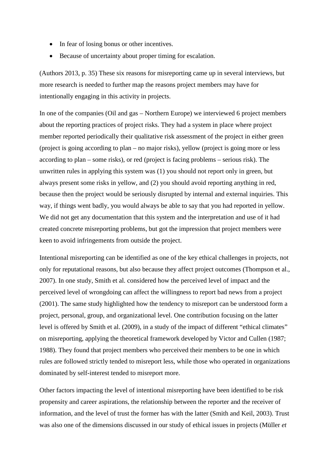- In fear of losing bonus or other incentives.
- Because of uncertainty about proper timing for escalation.

(Authors 2013, p. 35) These six reasons for misreporting came up in several interviews, but more research is needed to further map the reasons project members may have for intentionally engaging in this activity in projects.

In one of the companies (Oil and gas – Northern Europe) we interviewed 6 project members about the reporting practices of project risks. They had a system in place where project member reported periodically their qualitative risk assessment of the project in either green (project is going according to plan – no major risks), yellow (project is going more or less according to plan – some risks), or red (project is facing problems – serious risk). The unwritten rules in applying this system was (1) you should not report only in green, but always present some risks in yellow, and (2) you should avoid reporting anything in red, because then the project would be seriously disrupted by internal and external inquiries. This way, if things went badly, you would always be able to say that you had reported in yellow. We did not get any documentation that this system and the interpretation and use of it had created concrete misreporting problems, but got the impression that project members were keen to avoid infringements from outside the project.

Intentional misreporting can be identified as one of the key ethical challenges in projects, not only for reputational reasons, but also because they affect project outcomes (Thompson et al., 2007). In one study, Smith et al. considered how the perceived level of impact and the perceived level of wrongdoing can affect the willingness to report bad news from a project (2001). The same study highlighted how the tendency to misreport can be understood form a project, personal, group, and organizational level. One contribution focusing on the latter level is offered by Smith et al. (2009), in a study of the impact of different "ethical climates" on misreporting, applying the theoretical framework developed by Victor and Cullen (1987; 1988). They found that project members who perceived their members to be one in which rules are followed strictly tended to misreport less, while those who operated in organizations dominated by self-interest tended to misreport more.

Other factors impacting the level of intentional misreporting have been identified to be risk propensity and career aspirations, the relationship between the reporter and the receiver of information, and the level of trust the former has with the latter (Smith and Keil, 2003). Trust was also one of the dimensions discussed in our study of ethical issues in projects (Müller *et*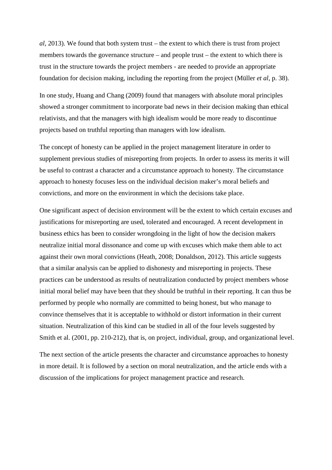*al*, 2013). We found that both system trust – the extent to which there is trust from project members towards the governance structure – and people trust – the extent to which there is trust in the structure towards the project members - are needed to provide an appropriate foundation for decision making, including the reporting from the project (Müller *et al*, p. 38).

In one study, Huang and Chang (2009) found that managers with absolute moral principles showed a stronger commitment to incorporate bad news in their decision making than ethical relativists, and that the managers with high idealism would be more ready to discontinue projects based on truthful reporting than managers with low idealism.

The concept of honesty can be applied in the project management literature in order to supplement previous studies of misreporting from projects. In order to assess its merits it will be useful to contrast a character and a circumstance approach to honesty. The circumstance approach to honesty focuses less on the individual decision maker's moral beliefs and convictions, and more on the environment in which the decisions take place.

One significant aspect of decision environment will be the extent to which certain excuses and justifications for misreporting are used, tolerated and encouraged. A recent development in business ethics has been to consider wrongdoing in the light of how the decision makers neutralize initial moral dissonance and come up with excuses which make them able to act against their own moral convictions (Heath, 2008; Donaldson, 2012). This article suggests that a similar analysis can be applied to dishonesty and misreporting in projects. These practices can be understood as results of neutralization conducted by project members whose initial moral belief may have been that they should be truthful in their reporting. It can thus be performed by people who normally are committed to being honest, but who manage to convince themselves that it is acceptable to withhold or distort information in their current situation. Neutralization of this kind can be studied in all of the four levels suggested by Smith et al. (2001, pp. 210-212), that is, on project, individual, group, and organizational level.

The next section of the article presents the character and circumstance approaches to honesty in more detail. It is followed by a section on moral neutralization, and the article ends with a discussion of the implications for project management practice and research.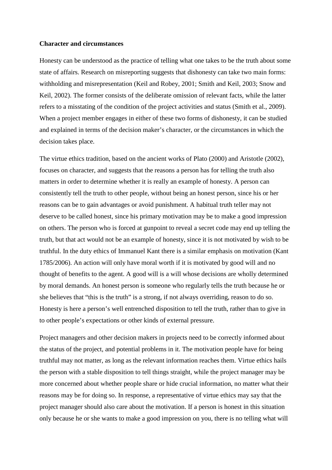#### **Character and circumstances**

Honesty can be understood as the practice of telling what one takes to be the truth about some state of affairs. Research on misreporting suggests that dishonesty can take two main forms: withholding and misrepresentation (Keil and Robey, 2001; Smith and Keil, 2003; Snow and Keil, 2002). The former consists of the deliberate omission of relevant facts, while the latter refers to a misstating of the condition of the project activities and status (Smith et al., 2009). When a project member engages in either of these two forms of dishonesty, it can be studied and explained in terms of the decision maker's character, or the circumstances in which the decision takes place.

The virtue ethics tradition, based on the ancient works of Plato (2000) and Aristotle (2002), focuses on character, and suggests that the reasons a person has for telling the truth also matters in order to determine whether it is really an example of honesty. A person can consistently tell the truth to other people, without being an honest person, since his or her reasons can be to gain advantages or avoid punishment. A habitual truth teller may not deserve to be called honest, since his primary motivation may be to make a good impression on others. The person who is forced at gunpoint to reveal a secret code may end up telling the truth, but that act would not be an example of honesty, since it is not motivated by wish to be truthful. In the duty ethics of Immanuel Kant there is a similar emphasis on motivation (Kant 1785/2006). An action will only have moral worth if it is motivated by good will and no thought of benefits to the agent. A good will is a will whose decisions are wholly determined by moral demands. An honest person is someone who regularly tells the truth because he or she believes that "this is the truth" is a strong, if not always overriding, reason to do so. Honesty is here a person's well entrenched disposition to tell the truth, rather than to give in to other people's expectations or other kinds of external pressure.

Project managers and other decision makers in projects need to be correctly informed about the status of the project, and potential problems in it. The motivation people have for being truthful may not matter, as long as the relevant information reaches them. Virtue ethics hails the person with a stable disposition to tell things straight, while the project manager may be more concerned about whether people share or hide crucial information, no matter what their reasons may be for doing so. In response, a representative of virtue ethics may say that the project manager should also care about the motivation. If a person is honest in this situation only because he or she wants to make a good impression on you, there is no telling what will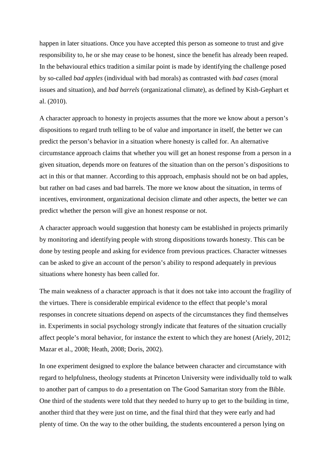happen in later situations. Once you have accepted this person as someone to trust and give responsibility to, he or she may cease to be honest, since the benefit has already been reaped. In the behavioural ethics tradition a similar point is made by identifying the challenge posed by so-called *bad apples* (individual with bad morals) as contrasted with *bad cases* (moral issues and situation), and *bad barrels* (organizational climate), as defined by Kish-Gephart et al. (2010).

A character approach to honesty in projects assumes that the more we know about a person's dispositions to regard truth telling to be of value and importance in itself, the better we can predict the person's behavior in a situation where honesty is called for. An alternative circumstance approach claims that whether you will get an honest response from a person in a given situation, depends more on features of the situation than on the person's dispositions to act in this or that manner. According to this approach, emphasis should not be on bad apples, but rather on bad cases and bad barrels. The more we know about the situation, in terms of incentives, environment, organizational decision climate and other aspects, the better we can predict whether the person will give an honest response or not.

A character approach would suggestion that honesty cam be established in projects primarily by monitoring and identifying people with strong dispositions towards honesty. This can be done by testing people and asking for evidence from previous practices. Character witnesses can be asked to give an account of the person's ability to respond adequately in previous situations where honesty has been called for.

The main weakness of a character approach is that it does not take into account the fragility of the virtues. There is considerable empirical evidence to the effect that people's moral responses in concrete situations depend on aspects of the circumstances they find themselves in. Experiments in social psychology strongly indicate that features of the situation crucially affect people's moral behavior, for instance the extent to which they are honest (Ariely, 2012; Mazar et al., 2008; Heath, 2008; Doris, 2002).

In one experiment designed to explore the balance between character and circumstance with regard to helpfulness, theology students at Princeton University were individually told to walk to another part of campus to do a presentation on The Good Samaritan story from the Bible. One third of the students were told that they needed to hurry up to get to the building in time, another third that they were just on time, and the final third that they were early and had plenty of time. On the way to the other building, the students encountered a person lying on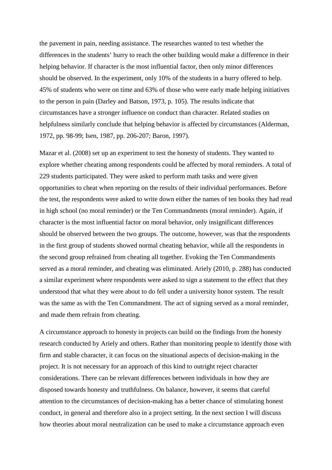the pavement in pain, needing assistance. The researches wanted to test whether the differences in the students' hurry to reach the other building would make a difference in their helping behavior. If character is the most influential factor, then only minor differences should be observed. In the experiment, only 10% of the students in a hurry offered to help. 45% of students who were on time and 63% of those who were early made helping initiatives to the person in pain (Darley and Batson, 1973, p. 105). The results indicate that circumstances have a stronger influence on conduct than character. Related studies on helpfulness similarly conclude that helping behavior is affected by circumstances (Alderman, 1972, pp. 98-99; Isen, 1987, pp. 206-207; Baron, 1997).

Mazar et al. (2008) set up an experiment to test the honesty of students. They wanted to explore whether cheating among respondents could be affected by moral reminders. A total of 229 students participated. They were asked to perform math tasks and were given opportunities to cheat when reporting on the results of their individual performances. Before the test, the respondents were asked to write down either the names of ten books they had read in high school (no moral reminder) or the Ten Commandments (moral reminder). Again, if character is the most influential factor on moral behavior, only insignificant differences should be observed between the two groups. The outcome, however, was that the respondents in the first group of students showed normal cheating behavior, while all the respondents in the second group refrained from cheating all together. Evoking the Ten Commandments served as a moral reminder, and cheating was eliminated. Ariely (2010, p. 288) has conducted a similar experiment where respondents were asked to sign a statement to the effect that they understood that what they were about to do fell under a university honor system. The result was the same as with the Ten Commandment. The act of signing served as a moral reminder, and made them refrain from cheating.

A circumstance approach to honesty in projects can build on the findings from the honesty research conducted by Ariely and others. Rather than monitoring people to identify those with firm and stable character, it can focus on the situational aspects of decision-making in the project. It is not necessary for an approach of this kind to outright reject character considerations. There can be relevant differences between individuals in how they are disposed towards honesty and truthfulness. On balance, however, it seems that careful attention to the circumstances of decision-making has a better chance of stimulating honest conduct, in general and therefore also in a project setting. In the next section I will discuss how theories about moral neutralization can be used to make a circumstance approach even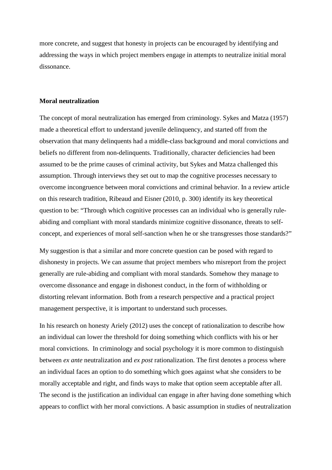more concrete, and suggest that honesty in projects can be encouraged by identifying and addressing the ways in which project members engage in attempts to neutralize initial moral dissonance.

#### **Moral neutralization**

The concept of moral neutralization has emerged from criminology. Sykes and Matza (1957) made a theoretical effort to understand juvenile delinquency, and started off from the observation that many delinquents had a middle-class background and moral convictions and beliefs no different from non-delinquents. Traditionally, character deficiencies had been assumed to be the prime causes of criminal activity, but Sykes and Matza challenged this assumption. Through interviews they set out to map the cognitive processes necessary to overcome incongruence between moral convictions and criminal behavior. In a review article on this research tradition, Ribeaud and Eisner (2010, p. 300) identify its key theoretical question to be: "Through which cognitive processes can an individual who is generally ruleabiding and compliant with moral standards minimize cognitive dissonance, threats to selfconcept, and experiences of moral self-sanction when he or she transgresses those standards?"

My suggestion is that a similar and more concrete question can be posed with regard to dishonesty in projects. We can assume that project members who misreport from the project generally are rule-abiding and compliant with moral standards. Somehow they manage to overcome dissonance and engage in dishonest conduct, in the form of withholding or distorting relevant information. Both from a research perspective and a practical project management perspective, it is important to understand such processes.

In his research on honesty Ariely (2012) uses the concept of rationalization to describe how an individual can lower the threshold for doing something which conflicts with his or her moral convictions. In criminology and social psychology it is more common to distinguish between *ex ante* neutralization and *ex post* rationalization. The first denotes a process where an individual faces an option to do something which goes against what she considers to be morally acceptable and right, and finds ways to make that option seem acceptable after all. The second is the justification an individual can engage in after having done something which appears to conflict with her moral convictions. A basic assumption in studies of neutralization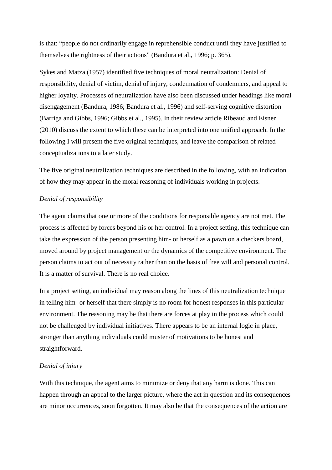is that: "people do not ordinarily engage in reprehensible conduct until they have justified to themselves the rightness of their actions" (Bandura et al., 1996; p. 365).

Sykes and Matza (1957) identified five techniques of moral neutralization: Denial of responsibility, denial of victim, denial of injury, condemnation of condemners, and appeal to higher loyalty. Processes of neutralization have also been discussed under headings like moral disengagement (Bandura, 1986; Bandura et al., 1996) and self-serving cognitive distortion (Barriga and Gibbs, 1996; Gibbs et al., 1995). In their review article Ribeaud and Eisner (2010) discuss the extent to which these can be interpreted into one unified approach. In the following I will present the five original techniques, and leave the comparison of related conceptualizations to a later study.

The five original neutralization techniques are described in the following, with an indication of how they may appear in the moral reasoning of individuals working in projects.

#### *Denial of responsibility*

The agent claims that one or more of the conditions for responsible agency are not met. The process is affected by forces beyond his or her control. In a project setting, this technique can take the expression of the person presenting him- or herself as a pawn on a checkers board, moved around by project management or the dynamics of the competitive environment. The person claims to act out of necessity rather than on the basis of free will and personal control. It is a matter of survival. There is no real choice.

In a project setting, an individual may reason along the lines of this neutralization technique in telling him- or herself that there simply is no room for honest responses in this particular environment. The reasoning may be that there are forces at play in the process which could not be challenged by individual initiatives. There appears to be an internal logic in place, stronger than anything individuals could muster of motivations to be honest and straightforward.

#### *Denial of injury*

With this technique, the agent aims to minimize or deny that any harm is done. This can happen through an appeal to the larger picture, where the act in question and its consequences are minor occurrences, soon forgotten. It may also be that the consequences of the action are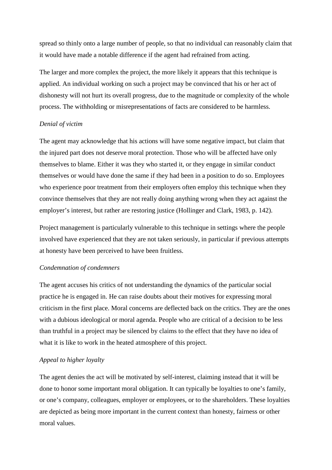spread so thinly onto a large number of people, so that no individual can reasonably claim that it would have made a notable difference if the agent had refrained from acting.

The larger and more complex the project, the more likely it appears that this technique is applied. An individual working on such a project may be convinced that his or her act of dishonesty will not hurt its overall progress, due to the magnitude or complexity of the whole process. The withholding or misrepresentations of facts are considered to be harmless.

### *Denial of victim*

The agent may acknowledge that his actions will have some negative impact, but claim that the injured part does not deserve moral protection. Those who will be affected have only themselves to blame. Either it was they who started it, or they engage in similar conduct themselves or would have done the same if they had been in a position to do so. Employees who experience poor treatment from their employers often employ this technique when they convince themselves that they are not really doing anything wrong when they act against the employer's interest, but rather are restoring justice (Hollinger and Clark, 1983, p. 142).

Project management is particularly vulnerable to this technique in settings where the people involved have experienced that they are not taken seriously, in particular if previous attempts at honesty have been perceived to have been fruitless.

#### *Condemnation of condemners*

The agent accuses his critics of not understanding the dynamics of the particular social practice he is engaged in. He can raise doubts about their motives for expressing moral criticism in the first place. Moral concerns are deflected back on the critics. They are the ones with a dubious ideological or moral agenda. People who are critical of a decision to be less than truthful in a project may be silenced by claims to the effect that they have no idea of what it is like to work in the heated atmosphere of this project.

## *Appeal to higher loyalty*

The agent denies the act will be motivated by self-interest, claiming instead that it will be done to honor some important moral obligation. It can typically be loyalties to one's family, or one's company, colleagues, employer or employees, or to the shareholders. These loyalties are depicted as being more important in the current context than honesty, fairness or other moral values.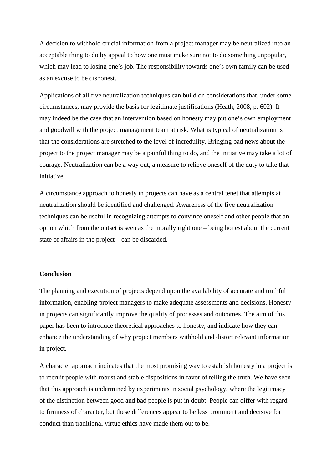A decision to withhold crucial information from a project manager may be neutralized into an acceptable thing to do by appeal to how one must make sure not to do something unpopular, which may lead to losing one's job. The responsibility towards one's own family can be used as an excuse to be dishonest.

Applications of all five neutralization techniques can build on considerations that, under some circumstances, may provide the basis for legitimate justifications (Heath, 2008, p. 602). It may indeed be the case that an intervention based on honesty may put one's own employment and goodwill with the project management team at risk. What is typical of neutralization is that the considerations are stretched to the level of incredulity. Bringing bad news about the project to the project manager may be a painful thing to do, and the initiative may take a lot of courage. Neutralization can be a way out, a measure to relieve oneself of the duty to take that initiative.

A circumstance approach to honesty in projects can have as a central tenet that attempts at neutralization should be identified and challenged. Awareness of the five neutralization techniques can be useful in recognizing attempts to convince oneself and other people that an option which from the outset is seen as the morally right one – being honest about the current state of affairs in the project – can be discarded.

#### **Conclusion**

The planning and execution of projects depend upon the availability of accurate and truthful information, enabling project managers to make adequate assessments and decisions. Honesty in projects can significantly improve the quality of processes and outcomes. The aim of this paper has been to introduce theoretical approaches to honesty, and indicate how they can enhance the understanding of why project members withhold and distort relevant information in project.

A character approach indicates that the most promising way to establish honesty in a project is to recruit people with robust and stable dispositions in favor of telling the truth. We have seen that this approach is undermined by experiments in social psychology, where the legitimacy of the distinction between good and bad people is put in doubt. People can differ with regard to firmness of character, but these differences appear to be less prominent and decisive for conduct than traditional virtue ethics have made them out to be.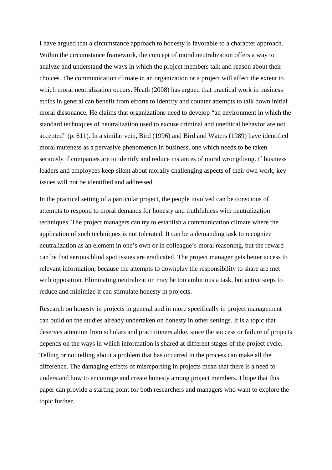I have argued that a circumstance approach to honesty is favorable to a character approach. Within the circumstance framework, the concept of moral neutralization offers a way to analyze and understand the ways in which the project members talk and reason about their choices. The communication climate in an organization or a project will affect the extent to which moral neutralization occurs. Heath (2008) has argued that practical work in business ethics in general can benefit from efforts to identify and counter attempts to talk down initial moral dissonance. He claims that organizations need to develop "an environment in which the standard techniques of neutralization used to excuse criminal and unethical behavior are not accepted" (p. 611). In a similar vein, Bird (1996) and Bird and Waters (1989) have identified moral muteness as a pervasive phenomenon in business, one which needs to be taken seriously if companies are to identify and reduce instances of moral wrongdoing. If business leaders and employees keep silent about morally challenging aspects of their own work, key issues will not be identified and addressed.

In the practical setting of a particular project, the people involved can be conscious of attempts to respond to moral demands for honesty and truthfulness with neutralization techniques. The project managers can try to establish a communication climate where the application of such techniques is not tolerated. It can be a demanding task to recognize neutralization as an element in one's own or in colleague's moral reasoning, but the reward can be that serious blind spot issues are eradicated. The project manager gets better access to relevant information, because the attempts to downplay the responsibility to share are met with opposition. Eliminating neutralization may be too ambitious a task, but active steps to reduce and minimize it can stimulate honesty in projects.

Research on honesty in projects in general and in more specifically in project management can build on the studies already undertaken on honesty in other settings. It is a topic that deserves attention from scholars and practitioners alike, since the success or failure of projects depends on the ways in which information is shared at different stages of the project cycle. Telling or not telling about a problem that has occurred in the process can make all the difference. The damaging effects of misreporting in projects mean that there is a need to understand how to encourage and create honesty among project members. I hope that this paper can provide a starting point for both researchers and managers who want to explore the topic further.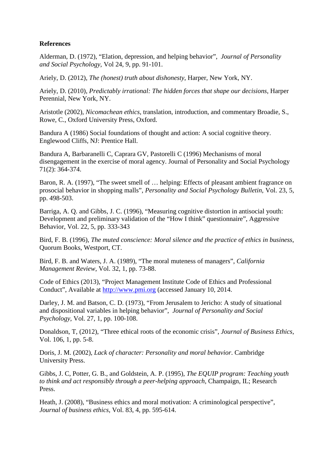## **References**

Alderman, D. (1972), "Elation, depression, and helping behavior", *Journal of Personality and Social Psychology*, Vol 24, 9, pp. 91-101.

Ariely, D. (2012), *The (honest) truth about dishonesty*, Harper, New York, NY.

Ariely, D. (2010), *Predictably irrational: The hidden forces that shape our decisions*, Harper Perennial, New York, NY.

Aristotle (2002), *Nicomachean ethics*, translation, introduction, and commentary Broadie, S., Rowe, C., Oxford University Press, Oxford.

Bandura A (1986) Social foundations of thought and action: A social cognitive theory. Englewood Cliffs, NJ: Prentice Hall.

Bandura A, Barbaranelli C, Caprara GV, Pastorelli C (1996) Mechanisms of moral disengagement in the exercise of moral agency. Journal of Personality and Social Psychology 71(2): 364-374.

Baron, R. A. (1997), "The sweet smell of ... helping: Effects of pleasant ambient fragrance on prosocial behavior in shopping malls", *Personality and Social Psychology Bulletin*, Vol. 23, 5, pp. 498-503.

Barriga, A. Q. and Gibbs, J. C. (1996), "Measuring cognitive distortion in antisocial youth: Development and preliminary validation of the "How I think" questionnaire", Aggressive Behavior, Vol. 22, 5, pp. 333-343

Bird, F. B. (1996), *The muted conscience: Moral silence and the practice of ethics in business*, Quorum Books, Westport, CT.

Bird, F. B. and Waters, J. A. (1989), "The moral muteness of managers", *California Management Review*, Vol. 32, 1, pp. 73-88.

Code of Ethics (2013), "Project Management Institute Code of Ethics and Professional Conduct", Available at [http://www.pmi.org](http://www.pmi.org/) (accessed January 10, 2014.

Darley, J. M. and Batson, C. D. (1973), "From Jerusalem to Jericho: A study of situational and dispositional variables in helping behavior", *Journal of Personality and Social Psychology*, Vol. 27, 1, pp. 100-108.

Donaldson, T, (2012), "Three ethical roots of the economic crisis", *Journal of Business Ethics*, Vol. 106, 1, pp. 5-8.

Doris, J. M. (2002), *Lack of character: Personality and moral behavior*. Cambridge University Press.

Gibbs, J. C, Potter, G. B., and Goldstein, A. P. (1995), *The EQUIP program: Teaching youth to think and act responsibly through a peer-helping approach*, Champaign, IL; Research Press.

Heath, J. (2008), "Business ethics and moral motivation: A criminological perspective", *Journal of business ethics*, Vol. 83, 4, pp. 595-614.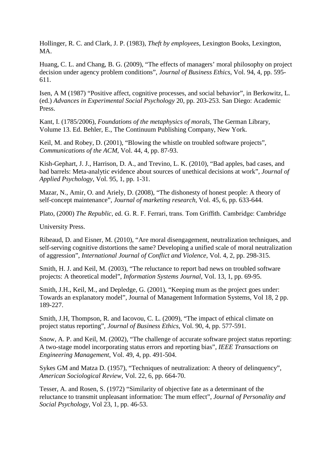Hollinger, R. C. and Clark, J. P. (1983), *Theft by employees*, Lexington Books, Lexington, MA.

Huang, C. L. and Chang, B. G. (2009), "The effects of managers' moral philosophy on project decision under agency problem conditions", *Journal of Business Ethics*, Vol. 94, 4, pp. 595- 611.

Isen, A M (1987) "Positive affect, cognitive processes, and social behavior", in Berkowitz, L. (ed.) *Advances in Experimental Social Psychology* 20, pp. 203-253. San Diego: Academic Press.

Kant, I. (1785/2006), *Foundations of the metaphysics of morals*, The German Library, Volume 13. Ed. Behler, E., The Continuum Publishing Company, New York.

Keil, M. and Robey, D. (2001), "Blowing the whistle on troubled software projects", *Communications of the ACM*, Vol. 44, 4, pp. 87-93.

Kish-Gephart, J. J., Harrison, D. A., and Trevino, L. K. (2010), "Bad apples, bad cases, and bad barrels: Meta-analytic evidence about sources of unethical decisions at work", *Journal of Applied Psychology*, Vol. 95, 1, pp. 1-31.

Mazar, N., Amir, O. and Ariely, D. (2008), "The dishonesty of honest people: A theory of self-concept maintenance", *Journal of marketing research*, Vol. 45, 6, pp. 633-644.

Plato, (2000) *The Republic*, ed. G. R. F. Ferrari, trans. Tom Griffith. Cambridge: Cambridge

University Press.

Ribeaud, D. and Eisner, M. (2010), "Are moral disengagement, neutralization techniques, and self-serving cognitive distortions the same? Developing a unified scale of moral neutralization of aggression", *International Journal of Conflict and Violence*, Vol. 4, 2, pp. 298-315.

Smith, H. J. and Keil, M. (2003), "The reluctance to report bad news on troubled software projects: A theoretical model", *Information Systems Journal*, Vol. 13, 1, pp. 69-95.

Smith, J.H., Keil, M., and Depledge, G. (2001), "Keeping mum as the project goes under: Towards an explanatory model", Journal of Management Information Systems, Vol 18, 2 pp. 189-227.

Smith, J.H, Thompson, R. and Iacovou, C. L. (2009), "The impact of ethical climate on project status reporting", *Journal of Business Ethics*, Vol. 90, 4, pp. 577-591.

Snow, A. P. and Keil, M. (2002), "The challenge of accurate software project status reporting: A two-stage model incorporating status errors and reporting bias", *IEEE Transactions on Engineering Management*, Vol. 49, 4, pp. 491-504.

Sykes GM and Matza D. (1957), "Techniques of neutralization: A theory of delinquency", *American Sociological Review*, Vol. 22, 6, pp. 664-70.

Tesser, A. and Rosen, S. (1972) "Similarity of objective fate as a determinant of the reluctance to transmit unpleasant information: The mum effect", *Journal of Personality and Social Psychology*, Vol 23, 1, pp. 46-53.